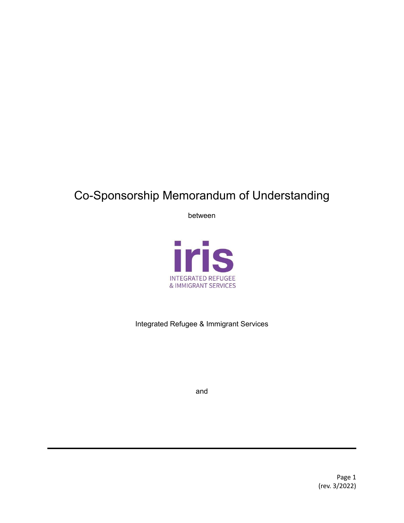# Co-Sponsorship Memorandum of Understanding

between



Integrated Refugee & Immigrant Services

and

Page 1 (rev. 3/2022)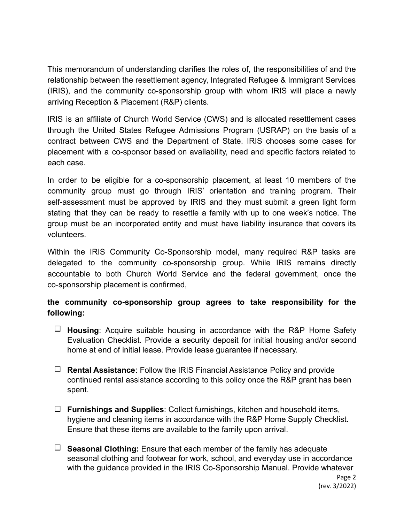This memorandum of understanding clarifies the roles of, the responsibilities of and the relationship between the resettlement agency, Integrated Refugee & Immigrant Services (IRIS), and the community co-sponsorship group with whom IRIS will place a newly arriving Reception & Placement (R&P) clients.

IRIS is an affiliate of Church World Service (CWS) and is allocated resettlement cases through the United States Refugee Admissions Program (USRAP) on the basis of a contract between CWS and the Department of State. IRIS chooses some cases for placement with a co-sponsor based on availability, need and specific factors related to each case.

In order to be eligible for a co-sponsorship placement, at least 10 members of the community group must go through IRIS' orientation and training program. Their self-assessment must be approved by IRIS and they must submit a green light form stating that they can be ready to resettle a family with up to one week's notice. The group must be an incorporated entity and must have liability insurance that covers its volunteers.

Within the IRIS Community Co-Sponsorship model, many required R&P tasks are delegated to the community co-sponsorship group. While IRIS remains directly accountable to both Church World Service and the federal government, once the co-sponsorship placement is confirmed,

## **the community co-sponsorship group agrees to take responsibility for the following:**

- **Housing**: Acquire suitable housing in accordance with the R&P Home Safety Evaluation Checklist. Provide a security deposit for initial housing and/or second home at end of initial lease. Provide lease guarantee if necessary.
- **Rental Assistance**: Follow the IRIS Financial Assistance Policy and provide continued rental assistance according to this policy once the R&P grant has been spent.
- **Furnishings and Supplies**: Collect furnishings, kitchen and household items, hygiene and cleaning items in accordance with the R&P Home Supply Checklist. Ensure that these items are available to the family upon arrival.
- $\Box$  **Seasonal Clothing:** Ensure that each member of the family has adequate seasonal clothing and footwear for work, school, and everyday use in accordance with the guidance provided in the IRIS Co-Sponsorship Manual. Provide whatever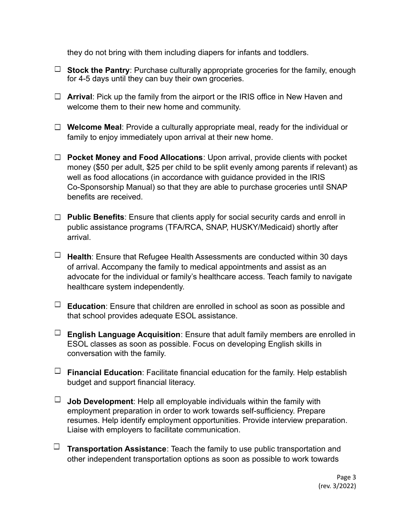they do not bring with them including diapers for infants and toddlers.

- **Stock the Pantry**: Purchase culturally appropriate groceries for the family, enough for 4-5 days until they can buy their own groceries.
- **Arrival**: Pick up the family from the airport or the IRIS office in New Haven and welcome them to their new home and community.
- **Welcome Meal**: Provide a culturally appropriate meal, ready for the individual or family to enjoy immediately upon arrival at their new home.
- **Pocket Money and Food Allocations**: Upon arrival, provide clients with pocket money (\$50 per adult, \$25 per child to be split evenly among parents if relevant) as well as food allocations (in accordance with guidance provided in the IRIS Co-Sponsorship Manual) so that they are able to purchase groceries until SNAP benefits are received.
- **Public Benefits**: Ensure that clients apply for social security cards and enroll in public assistance programs (TFA/RCA, SNAP, HUSKY/Medicaid) shortly after arrival.
- **Health**: Ensure that Refugee Health Assessments are conducted within 30 days of arrival. Accompany the family to medical appointments and assist as an advocate for the individual or family's healthcare access. Teach family to navigate healthcare system independently.
- **Education**: Ensure that children are enrolled in school as soon as possible and that school provides adequate ESOL assistance.
- **English Language Acquisition**: Ensure that adult family members are enrolled in ESOL classes as soon as possible. Focus on developing English skills in conversation with the family.
- $\Box$  **Financial Education**: Facilitate financial education for the family. Help establish budget and support financial literacy.
- $\Box$  **Job Development**: Help all employable individuals within the family with employment preparation in order to work towards self-sufficiency. Prepare resumes. Help identify employment opportunities. Provide interview preparation. Liaise with employers to facilitate communication.
- **Transportation Assistance**: Teach the family to use public transportation and other independent transportation options as soon as possible to work towards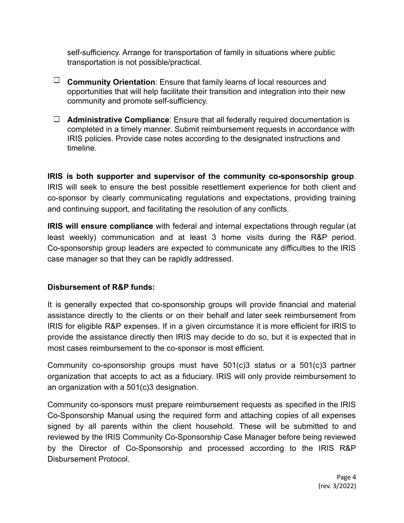self-sufficiency. Arrange for transportation of family in situations where public transportation is not possible/practical.

- **Community Orientation**: Ensure that family learns of local resources and opportunities that will help facilitate their transition and integration into their new community and promote self-sufficiency.
- **Administrative Compliance**: Ensure that all federally required documentation is completed in a timely manner. Submit reimbursement requests in accordance with IRIS policies. Provide case notes according to the designated instructions and timeline.

**IRIS is both supporter and supervisor of the community co-sponsorship group**. IRIS will seek to ensure the best possible resettlement experience for both client and co-sponsor by clearly communicating regulations and expectations, providing training and continuing support, and facilitating the resolution of any conflicts.

**IRIS will ensure compliance** with federal and internal expectations through regular (at least weekly) communication and at least 3 home visits during the R&P period. Co-sponsorship group leaders are expected to communicate any difficulties to the IRIS case manager so that they can be rapidly addressed.

#### **Disbursement of R&P funds:**

It is generally expected that co-sponsorship groups will provide financial and material assistance directly to the clients or on their behalf and later seek reimbursement from IRIS for eligible R&P expenses. If in a given circumstance it is more efficient for IRIS to provide the assistance directly then IRIS may decide to do so, but it is expected that in most cases reimbursement to the co-sponsor is most efficient.

Community co-sponsorship groups must have 501(c)3 status or a 501(c)3 partner organization that accepts to act as a fiduciary. IRIS will only provide reimbursement to an organization with a 501(c)3 designation.

Community co-sponsors must prepare reimbursement requests as specified in the IRIS Co-Sponsorship Manual using the required form and attaching copies of all expenses signed by all parents within the client household. These will be submitted to and reviewed by the IRIS Community Co-Sponsorship Case Manager before being reviewed by the Director of Co-Sponsorship and processed according to the IRIS R&P Disbursement Protocol.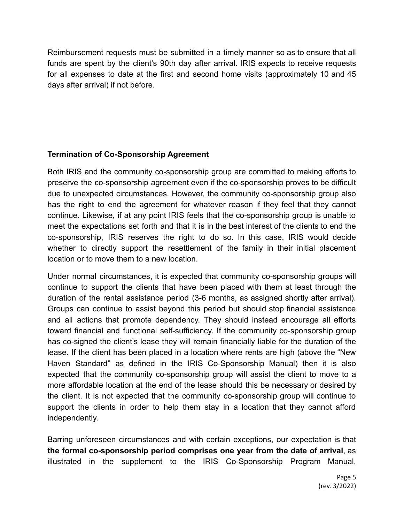Reimbursement requests must be submitted in a timely manner so as to ensure that all funds are spent by the client's 90th day after arrival. IRIS expects to receive requests for all expenses to date at the first and second home visits (approximately 10 and 45 days after arrival) if not before.

## **Termination of Co-Sponsorship Agreement**

Both IRIS and the community co-sponsorship group are committed to making efforts to preserve the co-sponsorship agreement even if the co-sponsorship proves to be difficult due to unexpected circumstances. However, the community co-sponsorship group also has the right to end the agreement for whatever reason if they feel that they cannot continue. Likewise, if at any point IRIS feels that the co-sponsorship group is unable to meet the expectations set forth and that it is in the best interest of the clients to end the co-sponsorship, IRIS reserves the right to do so. In this case, IRIS would decide whether to directly support the resettlement of the family in their initial placement location or to move them to a new location.

Under normal circumstances, it is expected that community co-sponsorship groups will continue to support the clients that have been placed with them at least through the duration of the rental assistance period (3-6 months, as assigned shortly after arrival). Groups can continue to assist beyond this period but should stop financial assistance and all actions that promote dependency. They should instead encourage all efforts toward financial and functional self-sufficiency. If the community co-sponsorship group has co-signed the client's lease they will remain financially liable for the duration of the lease. If the client has been placed in a location where rents are high (above the "New Haven Standard" as defined in the IRIS Co-Sponsorship Manual) then it is also expected that the community co-sponsorship group will assist the client to move to a more affordable location at the end of the lease should this be necessary or desired by the client. It is not expected that the community co-sponsorship group will continue to support the clients in order to help them stay in a location that they cannot afford independently.

Barring unforeseen circumstances and with certain exceptions, our expectation is that **the formal co-sponsorship period comprises one year from the date of arrival**, as illustrated in the supplement to the IRIS Co-Sponsorship Program Manual,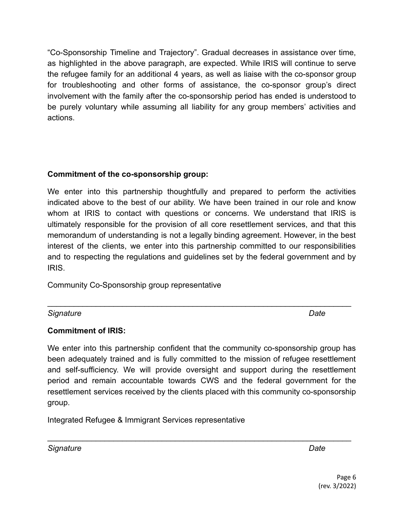"Co-Sponsorship Timeline and Trajectory". Gradual decreases in assistance over time, as highlighted in the above paragraph, are expected. While IRIS will continue to serve the refugee family for an additional 4 years, as well as liaise with the co-sponsor group for troubleshooting and other forms of assistance, the co-sponsor group's direct involvement with the family after the co-sponsorship period has ended is understood to be purely voluntary while assuming all liability for any group members' activities and actions.

#### **Commitment of the co-sponsorship group:**

We enter into this partnership thoughtfully and prepared to perform the activities indicated above to the best of our ability. We have been trained in our role and know whom at IRIS to contact with questions or concerns. We understand that IRIS is ultimately responsible for the provision of all core resettlement services, and that this memorandum of understanding is not a legally binding agreement. However, in the best interest of the clients, we enter into this partnership committed to our responsibilities and to respecting the regulations and guidelines set by the federal government and by IRIS.

Community Co-Sponsorship group representative

*Signature Date*

# **Commitment of IRIS:**

We enter into this partnership confident that the community co-sponsorship group has been adequately trained and is fully committed to the mission of refugee resettlement and self-sufficiency. We will provide oversight and support during the resettlement period and remain accountable towards CWS and the federal government for the resettlement services received by the clients placed with this community co-sponsorship group.

 $\mathcal{L}_\text{max} = \mathcal{L}_\text{max} = \mathcal{L}_\text{max} = \mathcal{L}_\text{max} = \mathcal{L}_\text{max} = \mathcal{L}_\text{max} = \mathcal{L}_\text{max} = \mathcal{L}_\text{max} = \mathcal{L}_\text{max} = \mathcal{L}_\text{max} = \mathcal{L}_\text{max} = \mathcal{L}_\text{max} = \mathcal{L}_\text{max} = \mathcal{L}_\text{max} = \mathcal{L}_\text{max} = \mathcal{L}_\text{max} = \mathcal{L}_\text{max} = \mathcal{L}_\text{max} = \mathcal{$ 

 $\mathcal{L}_\text{max} = \mathcal{L}_\text{max} = \mathcal{L}_\text{max} = \mathcal{L}_\text{max} = \mathcal{L}_\text{max} = \mathcal{L}_\text{max} = \mathcal{L}_\text{max} = \mathcal{L}_\text{max} = \mathcal{L}_\text{max} = \mathcal{L}_\text{max} = \mathcal{L}_\text{max} = \mathcal{L}_\text{max} = \mathcal{L}_\text{max} = \mathcal{L}_\text{max} = \mathcal{L}_\text{max} = \mathcal{L}_\text{max} = \mathcal{L}_\text{max} = \mathcal{L}_\text{max} = \mathcal{$ 

Integrated Refugee & Immigrant Services representative

*Signature Date*